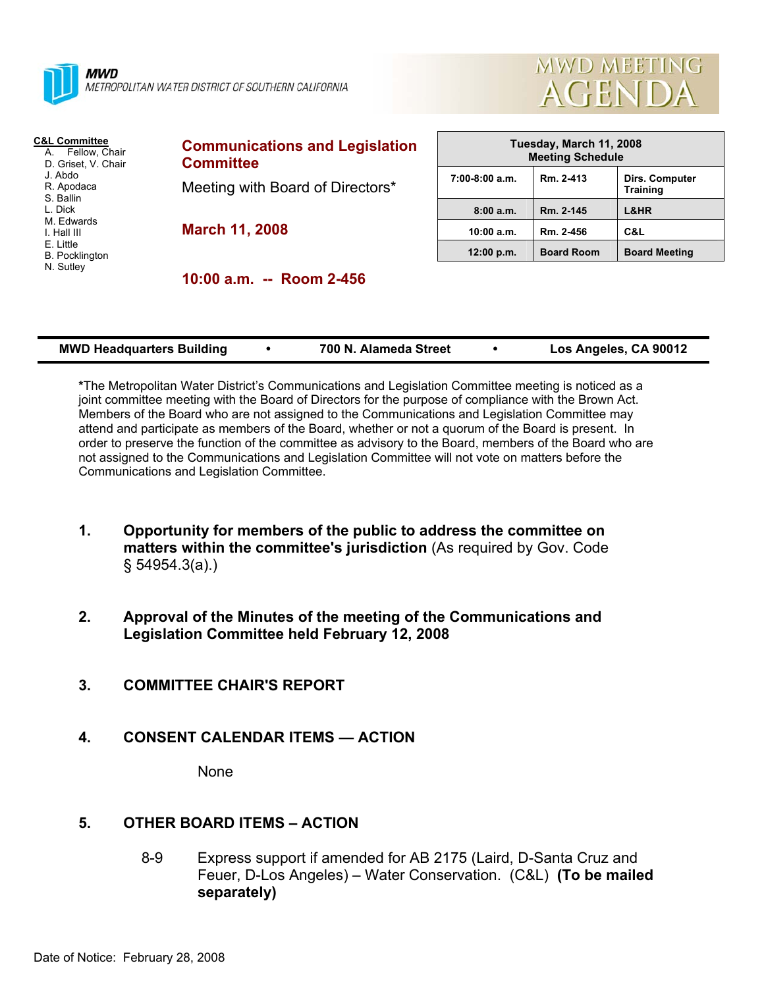

**MWD** METROPOLITAN WATER DISTRICT OF SOUTHERN CALIFORNIA



#### **C&L Committee**

A. Fellow, Chair D. Griset, V. Chair J. Abdo R. Apodaca S. Ballin L. Dick M. Edwards I. Hall III E. Little B. Pocklington N. Sutley

**Communications and Legislation Committee**  Meeting with Board of Directors\*

**March 11, 2008** 

**10:00 a.m. -- Room 2-456** 

| Tuesday, March 11, 2008<br><b>Meeting Schedule</b> |                   |                                   |  |  |  |
|----------------------------------------------------|-------------------|-----------------------------------|--|--|--|
| $7:00-8:00$ a.m.                                   | Rm. 2-413         | Dirs. Computer<br><b>Training</b> |  |  |  |
| 8:00a.m.                                           | Rm. 2-145         | <b>L&amp;HR</b>                   |  |  |  |
| 10:00 a.m.                                         | Rm. 2-456         | C&L                               |  |  |  |
| 12:00 p.m.                                         | <b>Board Room</b> | <b>Board Meeting</b>              |  |  |  |

| <b>MWD Headquarters Building</b> | 700 N. Alameda Street | Los Angeles, CA 90012 |
|----------------------------------|-----------------------|-----------------------|
|                                  |                       |                       |

**\***The Metropolitan Water District's Communications and Legislation Committee meeting is noticed as a joint committee meeting with the Board of Directors for the purpose of compliance with the Brown Act. Members of the Board who are not assigned to the Communications and Legislation Committee may attend and participate as members of the Board, whether or not a quorum of the Board is present. In order to preserve the function of the committee as advisory to the Board, members of the Board who are not assigned to the Communications and Legislation Committee will not vote on matters before the Communications and Legislation Committee.

- **1. Opportunity for members of the public to address the committee on matters within the committee's jurisdiction** (As required by Gov. Code § 54954.3(a).)
- **2. Approval of the Minutes of the meeting of the Communications and Legislation Committee held February 12, 2008**
- **3. COMMITTEE CHAIR'S REPORT**
- **4. CONSENT CALENDAR ITEMS ACTION**

**None** 

# **5. OTHER BOARD ITEMS – ACTION**

8-9 Express support if amended for AB 2175 (Laird, D-Santa Cruz and Feuer, D-Los Angeles) – Water Conservation. (C&L) **(To be mailed separately)**